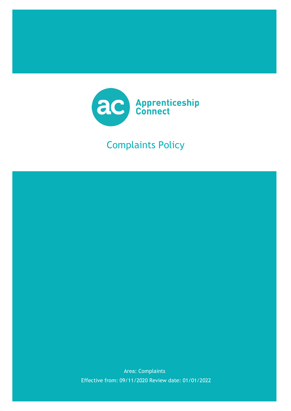

# Complaints Policy



Effective from: 09/11/2020 Review date: 01/01/2022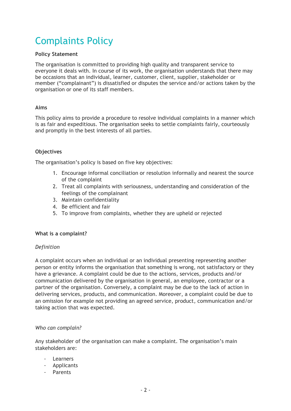# Complaints Policy

# **Policy Statement**

The organisation is committed to providing high quality and transparent service to everyone it deals with. In course of its work, the organisation understands that there may be occasions that an individual, learner, customer, client, supplier, stakeholder or member ("complainant") is dissatisfied or disputes the service and/or actions taken by the organisation or one of its staff members.

# **Aims**

This policy aims to provide a procedure to resolve individual complaints in a manner which is as fair and expeditious. The organisation seeks to settle complaints fairly, courteously and promptly in the best interests of all parties.

# **Objectives**

The organisation's policy is based on five key objectives:

- 1. Encourage informal conciliation or resolution informally and nearest the source of the complaint
- 2. Treat all complaints with seriousness, understanding and consideration of the feelings of the complainant
- 3. Maintain confidentiality
- 4. Be efficient and fair
- 5. To improve from complaints, whether they are upheld or rejected

#### **What is a complaint?**

#### *Definition*

A complaint occurs when an individual or an individual presenting representing another person or entity informs the organisation that something is wrong, not satisfactory or they have a grievance. A complaint could be due to the actions, services, products and/or communication delivered by the organisation in general, an employee, contractor or a partner of the organisation. Conversely, a complaint may be due to the lack of action in delivering services, products, and communication. Moreover, a complaint could be due to an omission for example not providing an agreed service, product, communication and/or taking action that was expected.

#### *Who can complain?*

Any stakeholder of the organisation can make a complaint. The organisation's main stakeholders are:

- **Learners**
- Applicants
- Parents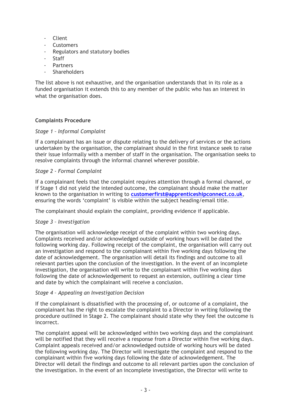- **Client**
- **Customers**
- Regulators and statutory bodies
- **Staff**
- **Partners**
- **Shareholders**

The list above is not exhaustive, and the organisation understands that in its role as a funded organisation it extends this to any member of the public who has an interest in what the organisation does.

#### **Complaints Procedure**

#### *Stage 1 – Informal Complaint*

If a complainant has an issue or dispute relating to the delivery of services or the actions undertaken by the organisation, the complainant should in the first instance seek to raise their issue informally with a member of staff in the organisation. The organisation seeks to resolve complaints through the informal channel wherever possible.

#### *Stage 2 - Formal Complaint*

If a complainant feels that the complaint requires attention through a formal channel, or if Stage 1 did not yield the intended outcome, the complainant should make the matter known to the organisation in writing to **[customerfirst@apprenticeshipconnect.co.uk](mailto:customerfirst@apprenticeshipconnect.co.uk)**, ensuring the words 'complaint' is visible within the subject heading/email title.

The complainant should explain the complaint, providing evidence if applicable.

#### *Stage 3 – Investigation*

The organisation will acknowledge receipt of the complaint within two working days. Complaints received and/or acknowledged outside of working hours will be dated the following working day. Following receipt of the complaint, the organisation will carry out an investigation and respond to the complainant within five working days following the date of acknowledgement. The organisation will detail its findings and outcome to all relevant parties upon the conclusion of the investigation. In the event of an incomplete investigation, the organisation will write to the complainant within five working days following the date of acknowledgement to request an extension, outlining a clear time and date by which the complainant will receive a conclusion.

#### *Stage 4 – Appealing an Investigation Decision*

If the complainant is dissatisfied with the processing of, or outcome of a complaint, the complainant has the right to escalate the complaint to a Director in writing following the procedure outlined in Stage 2. The complainant should state why they feel the outcome is incorrect.

The complaint appeal will be acknowledged within two working days and the complainant will be notified that they will receive a response from a Director within five working days. Complaint appeals received and/or acknowledged outside of working hours will be dated the following working day. The Director will investigate the complaint and respond to the complainant within five working days following the date of acknowledgement. The Director will detail the findings and outcome to all relevant parties upon the conclusion of the investigation. In the event of an incomplete investigation, the Director will write to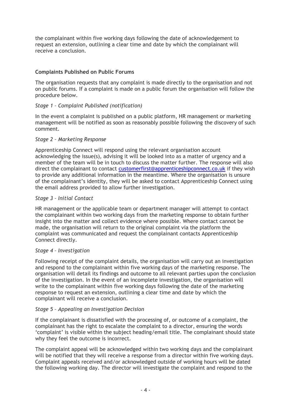the complainant within five working days following the date of acknowledgement to request an extension, outlining a clear time and date by which the complainant will receive a conclusion.

# **Complaints Published on Public Forums**

The organisation requests that any complaint is made directly to the organisation and not on public forums. If a complaint is made on a public forum the organisation will follow the procedure below.

# *Stage 1 – Complaint Published (notification)*

In the event a complaint is published on a public platform, HR management or marketing management will be notified as soon as reasonably possible following the discovery of such comment.

#### *Stage 2 – Marketing Response*

Apprenticeship Connect will respond using the relevant organisation account acknowledging the issue(s), advising it will be looked into as a matter of urgency and a member of the team will be in touch to discuss the matter further. The response will also direct the complainant to contact [customerfirst@apprenticeshipconnect.co.uk](mailto:customerfirst@apprenticeshipconnect.co.uk) if they wish to provide any additional information in the meantime. Where the organisation is unsure of the complainant's identity, they will be asked to contact Apprenticeship Connect using the email address provided to allow further investigation.

# *Stage 3 – Initial Contact*

HR management or the applicable team or department manager will attempt to contact the complainant within two working days from the marketing response to obtain further insight into the matter and collect evidence where possible. Where contact cannot be made, the organisation will return to the original complaint via the platform the complaint was communicated and request the complainant contacts Apprenticeship Connect directly.

#### *Stage 4 – Investigation*

Following receipt of the complaint details, the organisation will carry out an investigation and respond to the complainant within five working days of the marketing response. The organisation will detail its findings and outcome to all relevant parties upon the conclusion of the investigation. In the event of an incomplete investigation, the organisation will write to the complainant within five working days following the date of the marketing response to request an extension, outlining a clear time and date by which the complainant will receive a conclusion.

#### *Stage 5 – Appealing an Investigation Decision*

If the complainant is dissatisfied with the processing of, or outcome of a complaint, the complainant has the right to escalate the complaint to a director, ensuring the words 'complaint' is visible within the subject heading/email title. The complainant should state why they feel the outcome is incorrect.

The complaint appeal will be acknowledged within two working days and the complainant will be notified that they will receive a response from a director within five working days. Complaint appeals received and/or acknowledged outside of working hours will be dated the following working day. The director will investigate the complaint and respond to the